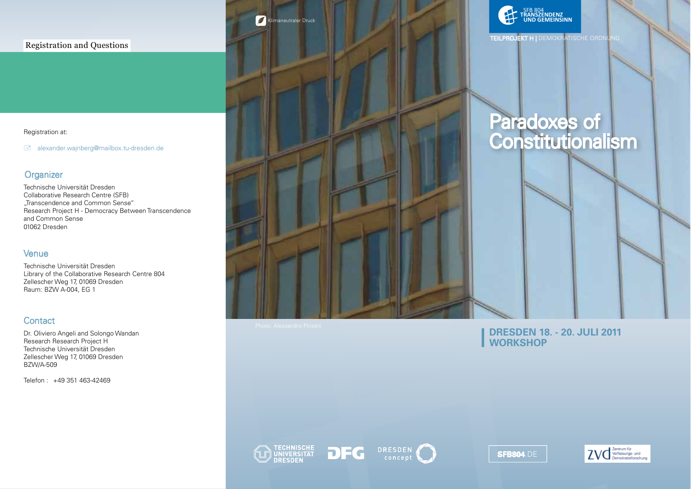## **Registration and Questions**

### Registration at:

alexander.wajnberg@mailbox.tu-dresden.de

# **Organizer**

Technische Universität Dresden Collaborative Research Centre (SFB) "Transcendence and Common Sense" Research Project H - Democracy Between Transcendence and Common Sense 01062 Dresden

# Venue

Technische Universität Dresden Library of the Collaborative Research Centre 804 Zellescher Weg 17, 01069 Dresden Raum: BZW A-004, EG 1

# **Contact**

Dr. Oliviero Angeli and Solongo Wandan Research Research Project H Technische Universität Dresden Zellescher Weg 17, 01069 Dresden BZW/A-509

Telefon : +49 351 463-42469



甘 SFB\$804 **TRANSZENDENZ UND\*GEMEINSINN**

# Paradoxes of Constitutionalism

**DRESDEN 18. - 20. JULI 2011 WORKSHOP**